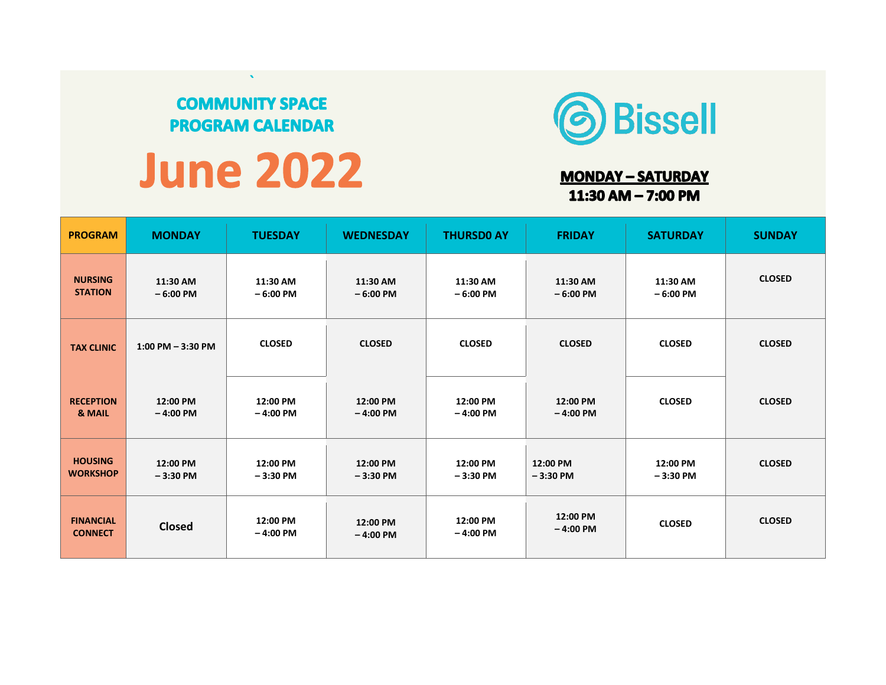## **COMMUNITY SPACE PROGRAM CALENDAR**

# **June 2022**



### **MONDAY - SATURDAY** 11:30 AM  $-$  7:00 PM

| <b>PROGRAM</b>                     | <b>MONDAY</b>          | <b>TUESDAY</b>         | <b>WEDNESDAY</b>       | <b>THURSDO AY</b>      | <b>FRIDAY</b>          | <b>SATURDAY</b>        | <b>SUNDAY</b> |
|------------------------------------|------------------------|------------------------|------------------------|------------------------|------------------------|------------------------|---------------|
| <b>NURSING</b><br><b>STATION</b>   | 11:30 AM<br>$-6:00$ PM | 11:30 AM<br>$-6:00$ PM | 11:30 AM<br>$-6:00$ PM | 11:30 AM<br>$-6:00$ PM | 11:30 AM<br>$-6:00$ PM | 11:30 AM<br>$-6:00$ PM | <b>CLOSED</b> |
| <b>TAX CLINIC</b>                  | $1:00$ PM $-3:30$ PM   | <b>CLOSED</b>          | <b>CLOSED</b>          | <b>CLOSED</b>          | <b>CLOSED</b>          | <b>CLOSED</b>          | <b>CLOSED</b> |
| <b>RECEPTION</b><br>& MAIL         | 12:00 PM<br>$-4:00$ PM | 12:00 PM<br>$-4:00$ PM | 12:00 PM<br>$-4:00$ PM | 12:00 PM<br>$-4:00$ PM | 12:00 PM<br>$-4:00$ PM | <b>CLOSED</b>          | <b>CLOSED</b> |
| <b>HOUSING</b><br><b>WORKSHOP</b>  | 12:00 PM<br>$-3:30$ PM | 12:00 PM<br>$-3:30$ PM | 12:00 PM<br>$-3:30$ PM | 12:00 PM<br>$-3:30$ PM | 12:00 PM<br>$-3:30$ PM | 12:00 PM<br>$-3:30$ PM | <b>CLOSED</b> |
| <b>FINANCIAL</b><br><b>CONNECT</b> | <b>Closed</b>          | 12:00 PM<br>$-4:00$ PM | 12:00 PM<br>$-4:00$ PM | 12:00 PM<br>$-4:00$ PM | 12:00 PM<br>$-4:00$ PM | <b>CLOSED</b>          | <b>CLOSED</b> |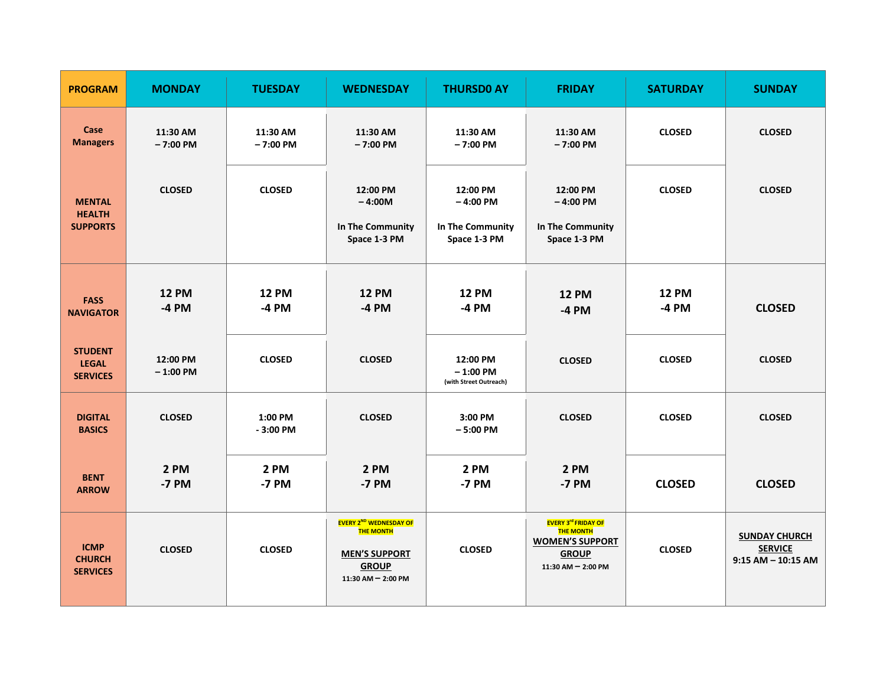| <b>PROGRAM</b>                                    | <b>MONDAY</b>           | <b>TUESDAY</b>          | <b>WEDNESDAY</b>                                                                                                    | <b>THURSDO AY</b>                                          | <b>FRIDAY</b>                                                                                                      | <b>SATURDAY</b>         | <b>SUNDAY</b>                                                    |
|---------------------------------------------------|-------------------------|-------------------------|---------------------------------------------------------------------------------------------------------------------|------------------------------------------------------------|--------------------------------------------------------------------------------------------------------------------|-------------------------|------------------------------------------------------------------|
| Case<br><b>Managers</b>                           | 11:30 AM<br>$-7:00$ PM  | 11:30 AM<br>$-7:00$ PM  | 11:30 AM<br>$-7:00$ PM                                                                                              | 11:30 AM<br>$-7:00$ PM                                     | 11:30 AM<br>$-7:00$ PM                                                                                             | <b>CLOSED</b>           | <b>CLOSED</b>                                                    |
| <b>MENTAL</b><br><b>HEALTH</b><br><b>SUPPORTS</b> | <b>CLOSED</b>           | <b>CLOSED</b>           | 12:00 PM<br>$-4:00M$<br>In The Community<br>Space 1-3 PM                                                            | 12:00 PM<br>$-4:00$ PM<br>In The Community<br>Space 1-3 PM | 12:00 PM<br>$-4:00$ PM<br>In The Community<br>Space 1-3 PM                                                         | <b>CLOSED</b>           | <b>CLOSED</b>                                                    |
| <b>FASS</b><br><b>NAVIGATOR</b>                   | <b>12 PM</b><br>$-4$ PM | <b>12 PM</b><br>$-4$ PM | <b>12 PM</b><br>$-4$ PM                                                                                             | <b>12 PM</b><br>$-4$ PM                                    | <b>12 PM</b><br>-4 PM                                                                                              | <b>12 PM</b><br>$-4$ PM | <b>CLOSED</b>                                                    |
| <b>STUDENT</b><br><b>LEGAL</b><br><b>SERVICES</b> | 12:00 PM<br>$-1:00$ PM  | <b>CLOSED</b>           | <b>CLOSED</b>                                                                                                       | 12:00 PM<br>$-1:00$ PM<br>(with Street Outreach)           | <b>CLOSED</b>                                                                                                      | <b>CLOSED</b>           | <b>CLOSED</b>                                                    |
| <b>DIGITAL</b><br><b>BASICS</b>                   | <b>CLOSED</b>           | 1:00 PM<br>$-3:00$ PM   | <b>CLOSED</b>                                                                                                       | 3:00 PM<br>$-5:00$ PM                                      | <b>CLOSED</b>                                                                                                      | <b>CLOSED</b>           | <b>CLOSED</b>                                                    |
| <b>BENT</b><br><b>ARROW</b>                       | 2 PM<br>-7 PM           | 2 PM<br>-7 PM           | 2 PM<br>-7 PM                                                                                                       | 2 PM<br>-7 PM                                              | 2 PM<br>-7 PM                                                                                                      | <b>CLOSED</b>           | <b>CLOSED</b>                                                    |
| <b>ICMP</b><br><b>CHURCH</b><br><b>SERVICES</b>   | <b>CLOSED</b>           | <b>CLOSED</b>           | <b>EVERY 2ND WEDNESDAY OF</b><br><b>THE MONTH</b><br><b>MEN'S SUPPORT</b><br><b>GROUP</b><br>$11:30$ AM $- 2:00$ PM | <b>CLOSED</b>                                              | <b>EVERY 3rd FRIDAY OF</b><br><b>THE MONTH</b><br><b>WOMEN'S SUPPORT</b><br><b>GROUP</b><br>$11:30$ AM $- 2:00$ PM | <b>CLOSED</b>           | <b>SUNDAY CHURCH</b><br><b>SERVICE</b><br>$9:15$ AM $-$ 10:15 AM |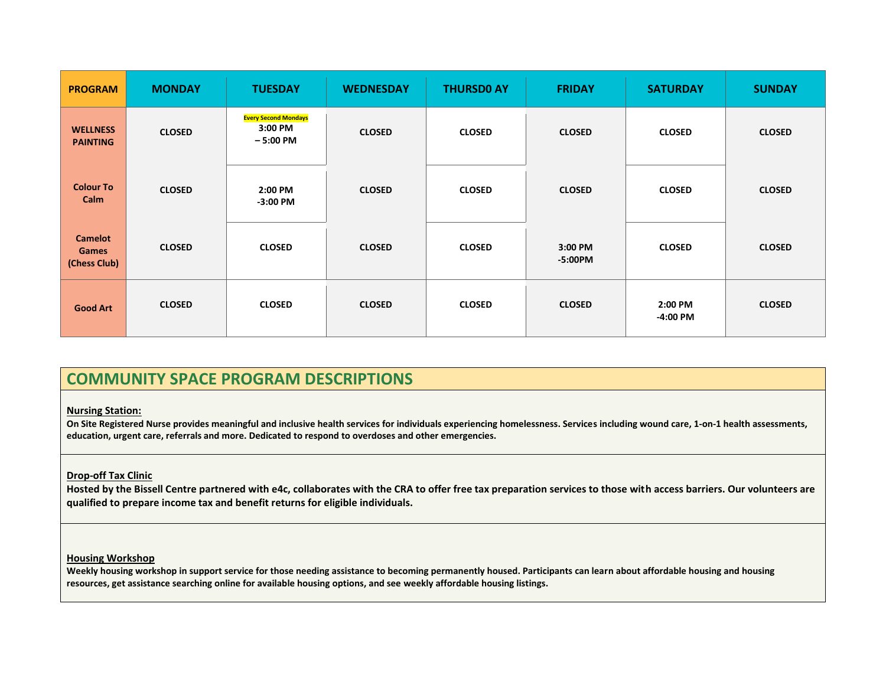| <b>PROGRAM</b>                                 | <b>MONDAY</b> | <b>TUESDAY</b>                                       | <b>WEDNESDAY</b> | <b>THURSDO AY</b> | <b>FRIDAY</b>        | <b>SATURDAY</b>       | <b>SUNDAY</b> |
|------------------------------------------------|---------------|------------------------------------------------------|------------------|-------------------|----------------------|-----------------------|---------------|
| <b>WELLNESS</b><br><b>PAINTING</b>             | <b>CLOSED</b> | <b>Every Second Mondays</b><br>3:00 PM<br>$-5:00$ PM | <b>CLOSED</b>    | <b>CLOSED</b>     | <b>CLOSED</b>        | <b>CLOSED</b>         | <b>CLOSED</b> |
| <b>Colour To</b><br>Calm                       | <b>CLOSED</b> | 2:00 PM<br>$-3:00$ PM                                | <b>CLOSED</b>    | <b>CLOSED</b>     | <b>CLOSED</b>        | <b>CLOSED</b>         | <b>CLOSED</b> |
| <b>Camelot</b><br><b>Games</b><br>(Chess Club) | <b>CLOSED</b> | <b>CLOSED</b>                                        | <b>CLOSED</b>    | <b>CLOSED</b>     | 3:00 PM<br>$-5:00PM$ | <b>CLOSED</b>         | <b>CLOSED</b> |
| <b>Good Art</b>                                | <b>CLOSED</b> | <b>CLOSED</b>                                        | <b>CLOSED</b>    | <b>CLOSED</b>     | <b>CLOSED</b>        | 2:00 PM<br>$-4:00$ PM | <b>CLOSED</b> |

## **COMMUNITY SPACE PROGRAM DESCRIPTIONS**

#### **Nursing Station:**

**On Site Registered Nurse provides meaningful and inclusive health services for individuals experiencing homelessness. Services including wound care, 1-on-1 health assessments, education, urgent care, referrals and more. Dedicated to respond to overdoses and other emergencies.**

#### **Drop-off Tax Clinic**

**Hosted by the Bissell Centre partnered with e4c, collaborates with the CRA to offer free tax preparation services to those with access barriers. Our volunteers are qualified to prepare income tax and benefit returns for eligible individuals.** 

#### **Housing Workshop**

**Weekly housing workshop in support service for those needing assistance to becoming permanently housed. Participants can learn about affordable housing and housing resources, get assistance searching online for available housing options, and see weekly affordable housing listings.**